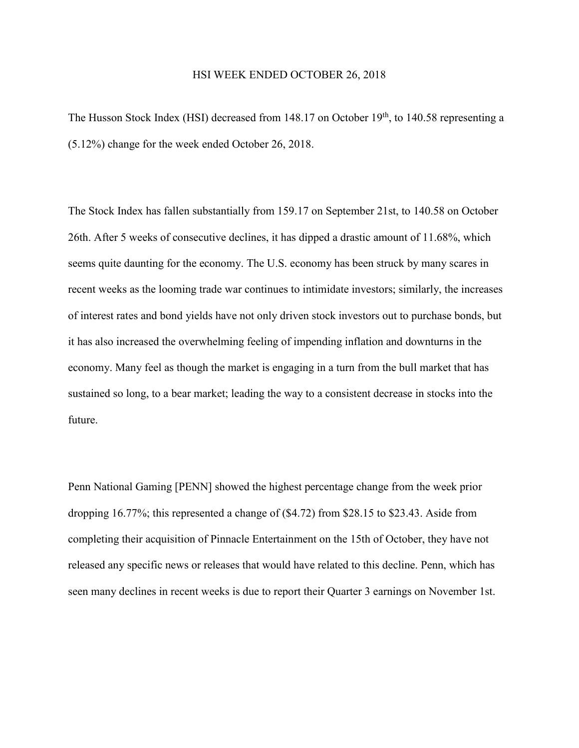## HSI WEEK ENDED OCTOBER 26, 2018

The Husson Stock Index (HSI) decreased from 148.17 on October 19<sup>th</sup>, to 140.58 representing a (5.12%) change for the week ended October 26, 2018.

The Stock Index has fallen substantially from 159.17 on September 21st, to 140.58 on October 26th. After 5 weeks of consecutive declines, it has dipped a drastic amount of 11.68%, which seems quite daunting for the economy. The U.S. economy has been struck by many scares in recent weeks as the looming trade war continues to intimidate investors; similarly, the increases of interest rates and bond yields have not only driven stock investors out to purchase bonds, but it has also increased the overwhelming feeling of impending inflation and downturns in the economy. Many feel as though the market is engaging in a turn from the bull market that has sustained so long, to a bear market; leading the way to a consistent decrease in stocks into the future.

Penn National Gaming [PENN] showed the highest percentage change from the week prior dropping 16.77%; this represented a change of (\$4.72) from \$28.15 to \$23.43. Aside from completing their acquisition of Pinnacle Entertainment on the 15th of October, they have not released any specific news or releases that would have related to this decline. Penn, which has seen many declines in recent weeks is due to report their Quarter 3 earnings on November 1st.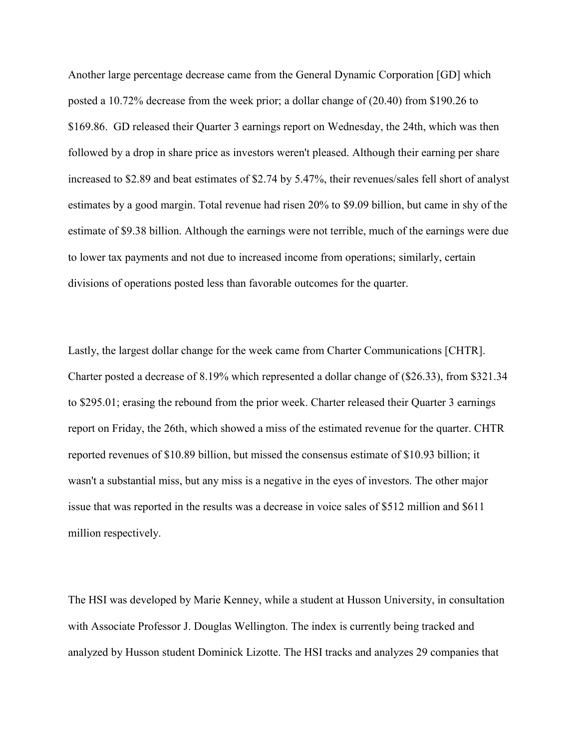Another large percentage decrease came from the General Dynamic Corporation [GD] which posted a 10.72% decrease from the week prior; a dollar change of (20.40) from \$190.26 to \$169.86. GD released their Quarter 3 earnings report on Wednesday, the 24th, which was then followed by a drop in share price as investors weren't pleased. Although their earning per share increased to \$2.89 and beat estimates of \$2.74 by 5.47%, their revenues/sales fell short of analyst estimates by a good margin. Total revenue had risen 20% to \$9.09 billion, but came in shy of the estimate of \$9.38 billion. Although the earnings were not terrible, much of the earnings were due to lower tax payments and not due to increased income from operations; similarly, certain divisions of operations posted less than favorable outcomes for the quarter.

Lastly, the largest dollar change for the week came from Charter Communications [CHTR]. Charter posted a decrease of 8.19% which represented a dollar change of (\$26.33), from \$321.34 to \$295.01; erasing the rebound from the prior week. Charter released their Quarter 3 earnings report on Friday, the 26th, which showed a miss of the estimated revenue for the quarter. CHTR reported revenues of \$10.89 billion, but missed the consensus estimate of \$10.93 billion; it wasn't a substantial miss, but any miss is a negative in the eyes of investors. The other major issue that was reported in the results was a decrease in voice sales of \$512 million and \$611 million respectively.

The HSI was developed by Marie Kenney, while a student at Husson University, in consultation with Associate Professor J. Douglas Wellington. The index is currently being tracked and analyzed by Husson student Dominick Lizotte. The HSI tracks and analyzes 29 companies that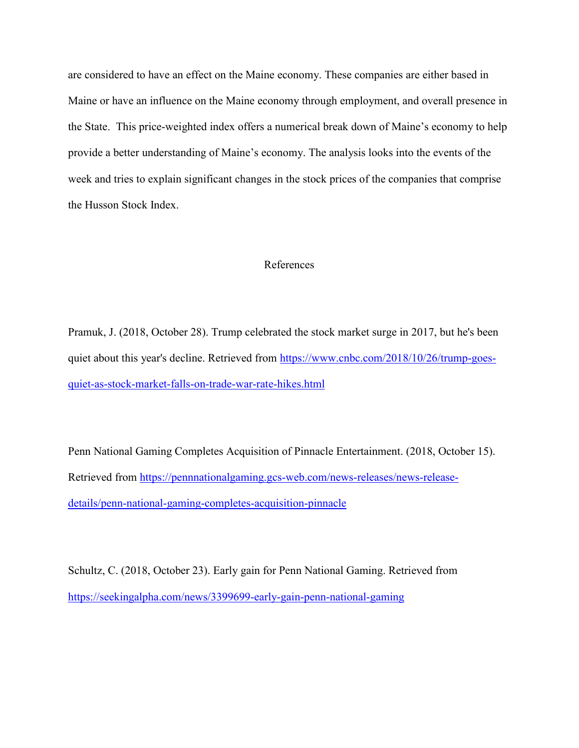are considered to have an effect on the Maine economy. These companies are either based in Maine or have an influence on the Maine economy through employment, and overall presence in the State. This price-weighted index offers a numerical break down of Maine's economy to help provide a better understanding of Maine's economy. The analysis looks into the events of the week and tries to explain significant changes in the stock prices of the companies that comprise the Husson Stock Index.

## References

Pramuk, J. (2018, October 28). Trump celebrated the stock market surge in 2017, but he's been quiet about this year's decline. Retrieved from [https://www.cnbc.com/2018/10/26/trump-goes](https://www.cnbc.com/2018/10/26/trump-goes-quiet-as-stock-market-falls-on-trade-war-rate-hikes.html)[quiet-as-stock-market-falls-on-trade-war-rate-hikes.html](https://www.cnbc.com/2018/10/26/trump-goes-quiet-as-stock-market-falls-on-trade-war-rate-hikes.html)

Penn National Gaming Completes Acquisition of Pinnacle Entertainment. (2018, October 15). Retrieved from [https://pennnationalgaming.gcs-web.com/news-releases/news-release](https://pennnationalgaming.gcs-web.com/news-releases/news-release-details/penn-national-gaming-completes-acquisition-pinnacle)[details/penn-national-gaming-completes-acquisition-pinnacle](https://pennnationalgaming.gcs-web.com/news-releases/news-release-details/penn-national-gaming-completes-acquisition-pinnacle)

Schultz, C. (2018, October 23). Early gain for Penn National Gaming. Retrieved from <https://seekingalpha.com/news/3399699-early-gain-penn-national-gaming>